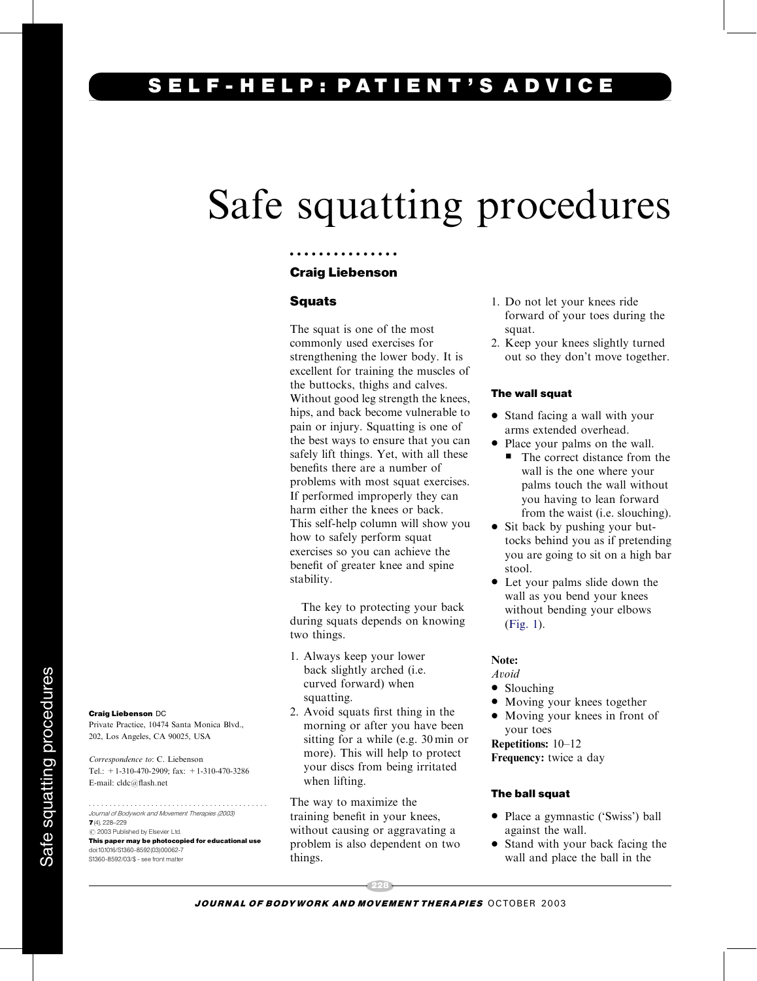## ELF-HELP: PATIENT'S ADVICE

# Safe squatting procedures

#### Craig Liebenson

...............

#### Squats

The squat is one of the most commonly used exercises for strengthening the lower body. It is excellent for training the muscles of the buttocks, thighs and calves. Without good leg strength the knees, hips, and back become vulnerable to pain or injury. Squatting is one of the best ways to ensure that you can safely lift things. Yet, with all these benefits there are a number of problems with most squat exercises. If performed improperly they can harm either the knees or back. This self-help column will show you how to safely perform squat exercises so you can achieve the benefit of greater knee and spine stability.

The key to protecting your back during squats depends on knowing two things.

- 1. Always keep your lower back slightly arched (i.e. curved forward) when squatting.
- 2. Avoid squats first thing in the morning or after you have been sitting for a while (e.g. 30 min or more). This will help to protect your discs from being irritated when lifting.

The way to maximize the training benefit in your knees, without causing or aggravating a problem is also dependent on two things.

- 1. Do not let your knees ride forward of your toes during the squat.
- 2. Keep your knees slightly turned out so they don't move together.

#### The wall squat

- Stand facing a wall with your arms extended overhead.
- Place your palms on the wall.
	- The correct distance from the wall is the one where your palms touch the wall without you having to lean forward from the waist (i.e. slouching).
- Sit back by pushing your buttocks behind you as if pretending you are going to sit on a high bar stool.
- Let your palms slide down the wall as you bend your knees without bending your elbows ([Fig. 1\)](#page-1-0).

#### Note:

#### Avoid

- Slouching
- Moving your knees together
- Moving your knees in front of your toes

Repetitions: 10–12 Frequency: twice a day

#### The ball squat

- Place a gymnastic ('Swiss') ball against the wall.
- Stand with your back facing the wall and place the ball in the

228 JOURNAL OF BODYWORK AND MOVEMENT THERAPIES OCTOBER 2003

### Craig Liebenson DC

Private Practice, 10474 Santa Monica Blvd., 202, Los Angeles, CA 90025, USA

Correspondence to: C. Liebenson Tel.: +1-310-470-2909; fax: +1-310-470-3286 E-mail: cldc@flash.net

........................................... Journal of Bodywork and Movement Therapies (2003)  $7(4)$ , 228-229  $\odot$  2003 Published by Elsevier Ltd.

This paper may be photocopied for educational use doi:10.1016/S1360-8592(03)00062-7 S1360-8592/03/\$ - see front matter